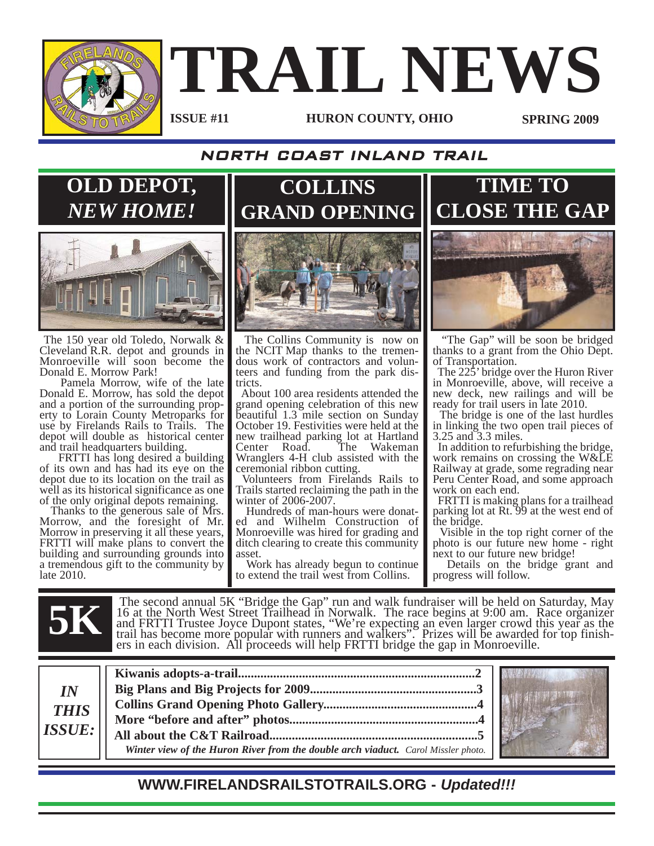

# **TRAIL NEWS**

#### **ISSUE #11**

**HURON COUNTY, OHIO SPRING 2009**

#### NORTH COAST INLAND TRAIL

**COLLINS** 

**OLD DEPOT,** *NEW HOME!*



The 150 year old Toledo, Norwalk & Cleveland R.R. depot and grounds in Monroeville will soon become the Donald E. Morrow Park!

Pamela Morrow, wife of the late Donald E. Morrow, has sold the depot and a portion of the surrounding property to Lorain County Metroparks for use by Firelands Rails to Trails. The depot will double as historical center and trail headquarters building.

FRTTI has long desired a building of its own and has had its eye on the depot due to its location on the trail as well as its historical significance as one of the only original depots remaining.

Thanks to the generous sale of Mrs. Morrow, and the foresight of Mr. Morrow in preserving it all these years, FRTTI will make plans to convert the building and surrounding grounds into a tremendous gift to the community by late 2010.



The Collins Community is now on the NCIT Map thanks to the tremendous work of contractors and volunteers and funding from the park districts.

About 100 area residents attended the grand opening celebration of this new beautiful 1.3 mile section on Sunday October 19. Festivities were held at the new trailhead parking lot at Hartland<br>Center Road. The Wakeman Center Road. Wranglers 4-H club assisted with the ceremonial ribbon cutting.

Volunteers from Firelands Rails to Trails started reclaiming the path in the winter of 2006-2007.

Hundreds of man-hours were donated and Wilhelm Construction of Monroeville was hired for grading and ditch clearing to create this community asset.

Work has already begun to continue to extend the trail west from Collins.



**TIME TO**

"The Gap" will be soon be bridged thanks to a grant from the Ohio Dept. of Transportation.

The 225' bridge over the Huron River in Monroeville, above, will receive a new deck, new railings and will be ready for trail users in late 2010.

The bridge is one of the last hurdles in linking the two open trail pieces of 3.25 and 3.3 miles.

In addition to refurbishing the bridge, work remains on crossing the W&LE Railway at grade, some regrading near Peru Center Road, and some approach work on each end.

FRTTI is making plans for a trailhead parking lot at Rt. 99 at the west end of the bridge.

Visible in the top right corner of the photo is our future new home - right next to our future new bridge!

Details on the bridge grant and progress will follow.

The second annual 5K "Bridge the Gap" run and walk fundraiser will be held on Saturday, May 16 at the North West Street Trailhead in Norwalk. The race begins at 9:00 am. Race organizer and FRTTI Trustee Joyce Dupont states 16 at the North West Street Trailhead in Norwalk. The race begins at 9:00 am. Race organizer and FRTTI Trustee Joyce Dupont states, "We're expecting an even larger crowd this year as the trail has become more popular with runners and walkers". Prizes will be awarded for top finishers in each division. All proceeds will help FRTTI bridge the gap in Monroeville.

| $I\!N$<br><b>THIS</b> |                                                                                          |
|-----------------------|------------------------------------------------------------------------------------------|
|                       |                                                                                          |
|                       |                                                                                          |
| ISSUE:                |                                                                                          |
|                       | <b>Winter view of the Huron River from the double arch viaduct.</b> Carol Missler photo. |



**WWW.FIRELANDSRAILSTOTRAILS.ORG -** *Updated!!!*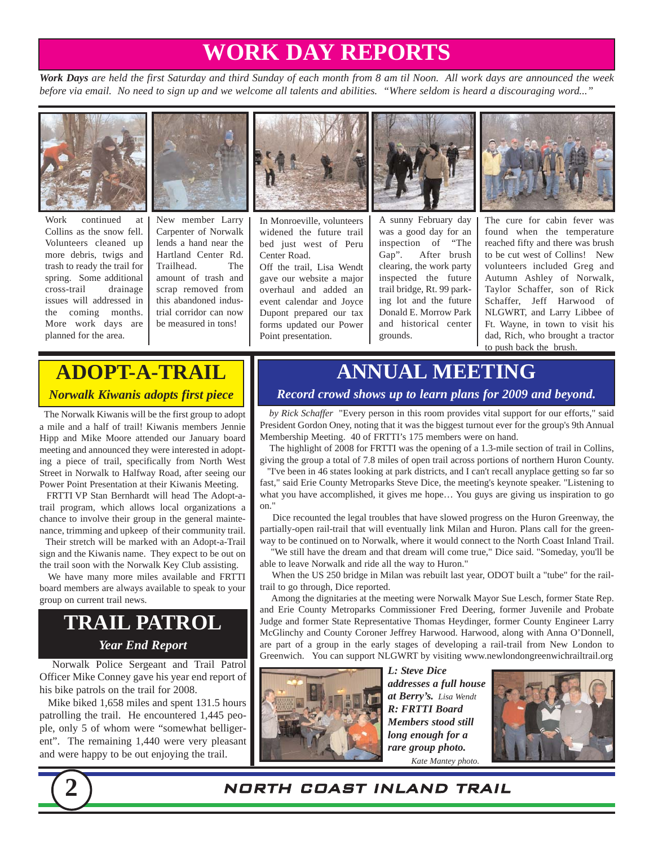# **WORK DAY REPORTS**

*Work Days are held the first Saturday and third Sunday of each month from 8 am til Noon. All work days are announced the week before via email. No need to sign up and we welcome all talents and abilities. "Where seldom is heard a discouraging word..."*



Work continued at Collins as the snow fell. Volunteers cleaned up more debris, twigs and trash to ready the trail for spring. Some additional cross-trail drainage issues will addressed in the coming months. More work days are planned for the area.



Carpenter of Norwalk lends a hand near the Hartland Center Rd. Trailhead. The amount of trash and scrap removed from this abandoned industrial corridor can now be measured in tons!



In Monroeville, volunteers widened the future trail bed just west of Peru Center Road.

Off the trail, Lisa Wendt gave our website a major overhaul and added an event calendar and Joyce Dupont prepared our tax forms updated our Power Point presentation.



A sunny February day was a good day for an inspection of "The Gap". After brush clearing, the work party inspected the future trail bridge, Rt. 99 parking lot and the future Donald E. Morrow Park and historical center grounds.



The cure for cabin fever was found when the temperature reached fifty and there was brush to be cut west of Collins! New volunteers included Greg and Autumn Ashley of Norwalk, Taylor Schaffer, son of Rick Schaffer, Jeff Harwood of NLGWRT, and Larry Libbee of Ft. Wayne, in town to visit his dad, Rich, who brought a tractor to push back the brush.

## **ADOPT-A-TRAIL** *Norwalk Kiwanis adopts first piece*

The Norwalk Kiwanis will be the first group to adopt a mile and a half of trail! Kiwanis members Jennie Hipp and Mike Moore attended our January board meeting and announced they were interested in adopting a piece of trail, specifically from North West Street in Norwalk to Halfway Road, after seeing our Power Point Presentation at their Kiwanis Meeting.

FRTTI VP Stan Bernhardt will head The Adopt-atrail program, which allows local organizations a chance to involve their group in the general maintenance, trimming and upkeep of their community trail.

Their stretch will be marked with an Adopt-a-Trail sign and the Kiwanis name. They expect to be out on the trail soon with the Norwalk Key Club assisting.

We have many more miles available and FRTTI board members are always available to speak to your group on current trail news.

## **TRAIL PATROL** *Year End Report*

Norwalk Police Sergeant and Trail Patrol Officer Mike Conney gave his year end report of his bike patrols on the trail for 2008.

Mike biked 1,658 miles and spent 131.5 hours patrolling the trail. He encountered 1,445 people, only 5 of whom were "somewhat belligerent". The remaining 1,440 were very pleasant and were happy to be out enjoying the trail.

## **ANNUAL MEETING**

#### *Record crowd shows up to learn plans for 2009 and beyond.*

*by Rick Schaffer* "Every person in this room provides vital support for our efforts," said President Gordon Oney, noting that it was the biggest turnout ever for the group's 9th Annual Membership Meeting. 40 of FRTTI's 175 members were on hand.

The highlight of 2008 for FRTTI was the opening of a 1.3-mile section of trail in Collins, giving the group a total of 7.8 miles of open trail across portions of northern Huron County.

"I've been in 46 states looking at park districts, and I can't recall anyplace getting so far so fast," said Erie County Metroparks Steve Dice, the meeting's keynote speaker. "Listening to what you have accomplished, it gives me hope… You guys are giving us inspiration to go on."

Dice recounted the legal troubles that have slowed progress on the Huron Greenway, the partially-open rail-trail that will eventually link Milan and Huron. Plans call for the greenway to be continued on to Norwalk, where it would connect to the North Coast Inland Trail.

'We still have the dream and that dream will come true," Dice said. "Someday, you'll be able to leave Norwalk and ride all the way to Huron."

When the US 250 bridge in Milan was rebuilt last year, ODOT built a "tube" for the railtrail to go through, Dice reported.

Among the dignitaries at the meeting were Norwalk Mayor Sue Lesch, former State Rep. and Erie County Metroparks Commissioner Fred Deering, former Juvenile and Probate Judge and former State Representative Thomas Heydinger, former County Engineer Larry McGlinchy and County Coroner Jeffrey Harwood. Harwood, along with Anna O'Donnell, are part of a group in the early stages of developing a rail-trail from New London to Greenwich. You can support NLGWRT by visiting www.newlondongreenwichrailtrail.org



*L: Steve Dice addresses a full house at Berry's. Lisa Wendt R: FRTTI Board Members stood still long enough for a rare group photo. Kate Mantey photo.*





#### **2** NORTH COAST INLAND TRAIL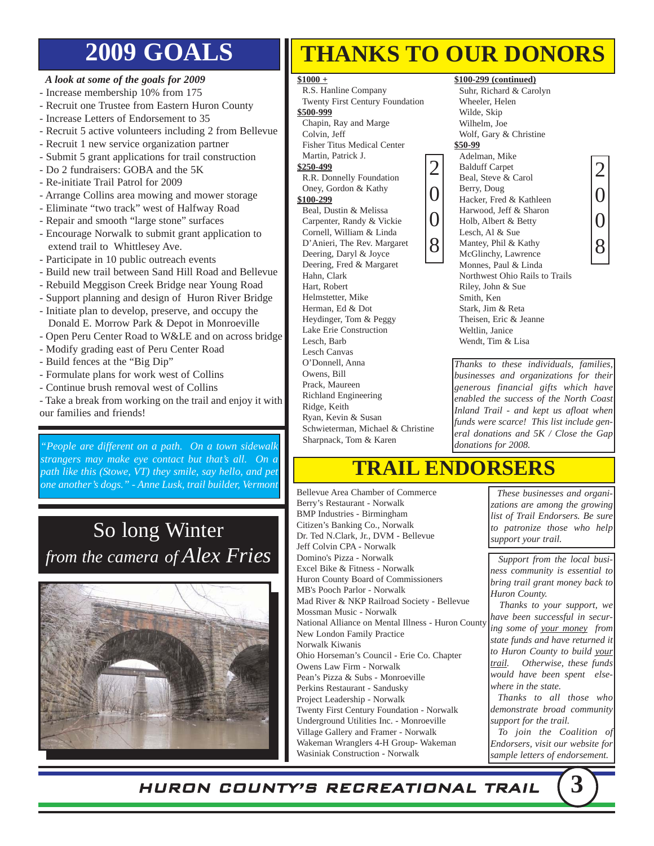# **2009 GOALS**

#### *A look at some of the goals for 2009*

- Increase membership 10% from 175
- Recruit one Trustee from Eastern Huron County
- Increase Letters of Endorsement to 35
- Recruit 5 active volunteers including 2 from Bellevue
- Recruit 1 new service organization partner
- Submit 5 grant applications for trail construction
- Do 2 fundraisers: GOBA and the 5K
- Re-initiate Trail Patrol for 2009
- Arrange Collins area mowing and mower storage
- Eliminate "two track" west of Halfway Road
- Repair and smooth "large stone" surfaces
- Encourage Norwalk to submit grant application to extend trail to Whittlesey Ave.
- Participate in 10 public outreach events
- Build new trail between Sand Hill Road and Bellevue
- Rebuild Meggison Creek Bridge near Young Road
- Support planning and design of Huron River Bridge
- Initiate plan to develop, preserve, and occupy the Donald E. Morrow Park & Depot in Monroeville
- Open Peru Center Road to W&LE and on across bridge
- Modify grading east of Peru Center Road
- Build fences at the "Big Dip"
- Formulate plans for work west of Collins
- Continue brush removal west of Collins
- Take a break from working on the trail and enjoy it with our families and friends!

*People are different on a path. On a town sidewalk dependence in the sharphack, lom & Karen donations for 2008. strangers may make eye contact but that's all. On a path like this (Stowe, VT) they smile, say hello, and pet one another's dogs." - Anne Lusk, trail builder, Vermont*

## So long Winter *from the camera of Alex Fries*



# **THANKS TO OUR DONORS**

#### **\$1000 +**

R.S. Hanline Company Twenty First Century Foundation

#### **\$500-999**

Chapin, Ray and Marge

Colvin, Jeff Fisher Titus Medical Center

Martin, Patrick J.

#### **\$250-499**

R.R. Donnelly Foundation Oney, Gordon & Kathy

#### **\$100-299**

Beal, Dustin & Melissa Carpenter, Randy & Vickie Cornell, William & Linda D'Anieri, The Rev. Margaret Deering, Daryl & Joyce Deering, Fred & Margaret Hahn, Clark Hart, Robert Helmstetter, Mike Herman, Ed & Dot Heydinger, Tom & Peggy Lake Erie Construction Lesch, Barb Lesch Canvas O'Donnell, Anna Owens, Bill Prack, Maureen Richland Engineering Ridge, Keith Ryan, Kevin & Susan Schwieterman, Michael & Christine Sharpnack, Tom & Karen

#### **\$100-299 (continued)**

Suhr, Richard & Carolyn Wheeler, Helen Wilde, Skip Wilhelm, Joe Wolf, Gary & Christine **\$50-99** Adelman, Mike Balduff Carpet

McGlinchy, Lawrence

Wendt, Tim & Lisa

- Beal, Steve & Carol Berry, Doug Hacker, Fred & Kathleen Harwood, Jeff & Sharon Holb, Albert & Betty 2 0
- Lesch, Al & Sue Mantey, Phil & Kathy 0 8



*Thanks to these individuals, families, businesses and organizations for their generous financial gifts which have enabled the success of the North Coast Inland Trail - and kept us afloat when funds were scarce! This list include general donations and 5K / Close the Gap*

## **TRAIL ENDORSERS**

Bellevue Area Chamber of Commerce Berry's Restaurant - Norwalk BMP Industries - Birmingham Citizen's Banking Co., Norwalk Dr. Ted N.Clark, Jr., DVM - Bellevue Jeff Colvin CPA - Norwalk Domino's Pizza - Norwalk Excel Bike & Fitness - Norwalk Huron County Board of Commissioners MB's Pooch Parlor - Norwalk Mad River & NKP Railroad Society - Bellevue Mossman Music - Norwalk National Alliance on Mental Illness - Huron County New London Family Practice Norwalk Kiwanis Ohio Horseman's Council - Erie Co. Chapter Owens Law Firm - Norwalk Pean's Pizza & Subs - Monroeville Perkins Restaurant - Sandusky Project Leadership - Norwalk Twenty First Century Foundation - Norwalk Underground Utilities Inc. - Monroeville Village Gallery and Framer - Norwalk Wakeman Wranglers 4-H Group- Wakeman Wasiniak Construction - Norwalk

*These businesses and organizations are among the growing list of Trail Endorsers. Be sure to patronize those who help support your trail.* 

*Support from the local business community is essential to bring trail grant money back to Huron County.* 

*Thanks to your support, we have been successful in securing some of your money from state funds and have returned it to Huron County to build your trail. Otherwise, these funds would have been spent elsewhere in the state.*

*Thanks to all those who demonstrate broad community support for the trail.*

*To join the Coalition of Endorsers, visit our website for sample letters of endorsement.*

HURON COUNTY'S RECREATIONAL TRAIL **3**



Monnes, Paul & Linda Northwest Ohio Rails to Trails Riley, John & Sue Smith, Ken Stark, Jim & Reta Theisen, Eric & Jeanne Weltlin, Janice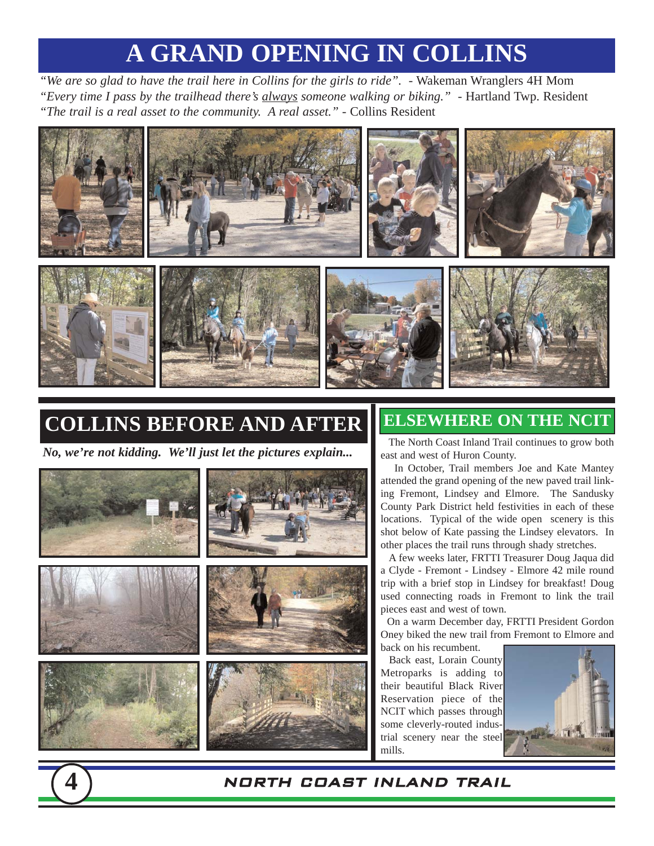# **A GRAND OPENING IN COLLINS**

*"We are so glad to have the trail here in Collins for the girls to ride".* - Wakeman Wranglers 4H Mom *"Every time I pass by the trailhead there's always someone walking or biking."* - Hartland Twp. Resident *"The trail is a real asset to the community. A real asset."* - Collins Resident



# **COLLINS BEFORE AND AFTER**

*No, we're not kidding. We'll just let the pictures explain...*



## **ELSEWHERE ON THE NCIT**

The North Coast Inland Trail continues to grow both east and west of Huron County.

In October, Trail members Joe and Kate Mantey attended the grand opening of the new paved trail linking Fremont, Lindsey and Elmore. The Sandusky County Park District held festivities in each of these locations. Typical of the wide open scenery is this shot below of Kate passing the Lindsey elevators. In other places the trail runs through shady stretches.

A few weeks later, FRTTI Treasurer Doug Jaqua did a Clyde - Fremont - Lindsey - Elmore 42 mile round trip with a brief stop in Lindsey for breakfast! Doug used connecting roads in Fremont to link the trail pieces east and west of town.

On a warm December day, FRTTI President Gordon Oney biked the new trail from Fremont to Elmore and back on his recumbent.

Back east, Lorain County Metroparks is adding to their beautiful Black River Reservation piece of the NCIT which passes through some cleverly-routed industrial scenery near the steel mills.

**4** NORTH COAST INLAND TRAIL



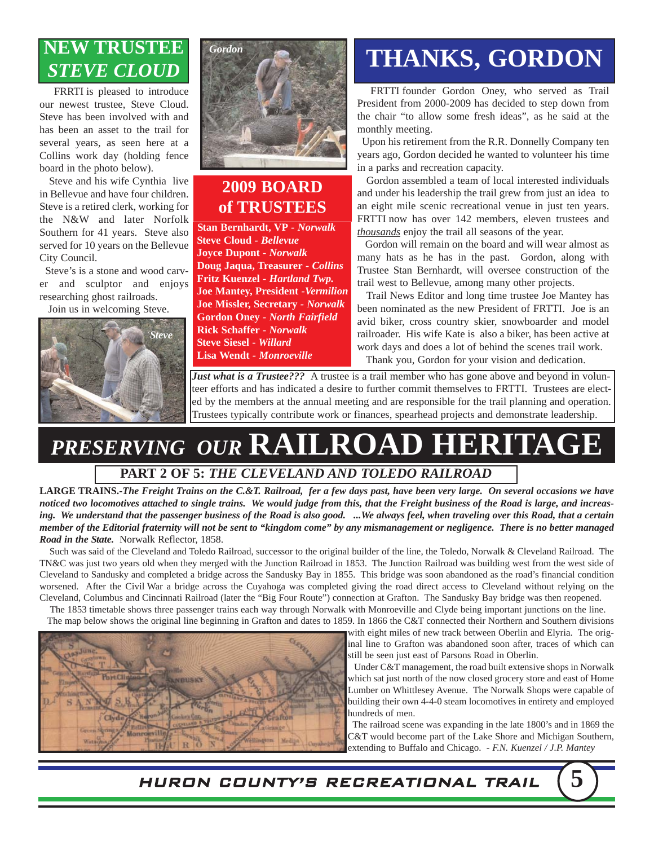## **NEW TRUSTEE** *STEVE CLOUD*

FRRTI is pleased to introduce our newest trustee, Steve Cloud. Steve has been involved with and has been an asset to the trail for several years, as seen here at a Collins work day (holding fence board in the photo below).

Steve and his wife Cynthia live in Bellevue and have four children. Steve is a retired clerk, working for the N&W and later Norfolk Southern for 41 years. Steve also served for 10 years on the Bellevue City Council.

Steve's is a stone and wood carver and sculptor and enjoys researching ghost railroads.

Join us in welcoming Steve.





## **2009 BOARD of TRUSTEES**

**Stan Bernhardt, VP** *- Norwalk* **Steve Cloud** *- Bellevue* **Joyce Dupont** *- Norwalk* **Doug Jaqua, Treasurer** *- Collins* **Fritz Kuenzel** *- Hartland Twp.* **Joe Mantey, President** *-Vermilion* **Joe Missler, Secretary** *- Norwalk* **Gordon Oney** *- North Fairfield* **Rick Schaffer** *- Norwalk* **Steve Siesel -** *Willard* **Lisa Wendt** *- Monroeville*

# **THANKS, GORDON**

FRTTI founder Gordon Oney, who served as Trail President from 2000-2009 has decided to step down from the chair "to allow some fresh ideas", as he said at the monthly meeting.

Upon his retirement from the R.R. Donnelly Company ten years ago, Gordon decided he wanted to volunteer his time in a parks and recreation capacity.

Gordon assembled a team of local interested individuals and under his leadership the trail grew from just an idea to an eight mile scenic recreational venue in just ten years. FRTTI now has over 142 members, eleven trustees and *thousands* enjoy the trail all seasons of the year.

Gordon will remain on the board and will wear almost as many hats as he has in the past. Gordon, along with Trustee Stan Bernhardt, will oversee construction of the trail west to Bellevue, among many other projects.

Trail News Editor and long time trustee Joe Mantey has been nominated as the new President of FRTTI. Joe is an avid biker, cross country skier, snowboarder and model railroader. His wife Kate is also a biker, has been active at work days and does a lot of behind the scenes trail work. Thank you, Gordon for your vision and dedication.

*Just what is a Trustee???* A trustee is a trail member who has gone above and beyond in volunteer efforts and has indicated a desire to further commit themselves to FRTTI. Trustees are elected by the members at the annual meeting and are responsible for the trail planning and operation. Trustees typically contribute work or finances, spearhead projects and demonstrate leadership.

## *PRESERVING OUR* **RAILROAD HERITAGE PART 2 OF 5:** *THE CLEVELAND AND TOLEDO RAILROAD*

**LARGE TRAINS.-***The Freight Trains on the C.&T. Railroad, fer a few days past, have been very large. On several occasions we have noticed two locomotives attached to single trains. We would judge from this, that the Freight business of the Road is large, and increasing. We understand that the passenger business of the Road is also good. ...We always feel, when traveling over this Road, that a certain member of the Editorial fraternity will not be sent to "kingdom come" by any mismanagement or negligence. There is no better managed Road in the State.* Norwalk Reflector, 1858.

Such was said of the Cleveland and Toledo Railroad, successor to the original builder of the line, the Toledo, Norwalk & Cleveland Railroad. The TN&C was just two years old when they merged with the Junction Railroad in 1853. The Junction Railroad was building west from the west side of Cleveland to Sandusky and completed a bridge across the Sandusky Bay in 1855. This bridge was soon abandoned as the road's financial condition worsened. After the Civil War a bridge across the Cuyahoga was completed giving the road direct access to Cleveland without relying on the Cleveland, Columbus and Cincinnati Railroad (later the "Big Four Route") connection at Grafton. The Sandusky Bay bridge was then reopened.

The 1853 timetable shows three passenger trains each way through Norwalk with Monroeville and Clyde being important junctions on the line. The map below shows the original line beginning in Grafton and dates to 1859. In 1866 the C&T connected their Northern and Southern divisions



with eight miles of new track between Oberlin and Elyria. The original line to Grafton was abandoned soon after, traces of which can still be seen just east of Parsons Road in Oberlin.

Under C&T management, the road built extensive shops in Norwalk which sat just north of the now closed grocery store and east of Home Lumber on Whittlesey Avenue. The Norwalk Shops were capable of building their own 4-4-0 steam locomotives in entirety and employed hundreds of men.

The railroad scene was expanding in the late 1800's and in 1869 the C&T would become part of the Lake Shore and Michigan Southern, extending to Buffalo and Chicago. *- F.N. Kuenzel / J.P. Mantey*

HURON COUNTY'S RECREATIONAL TRAIL **5**